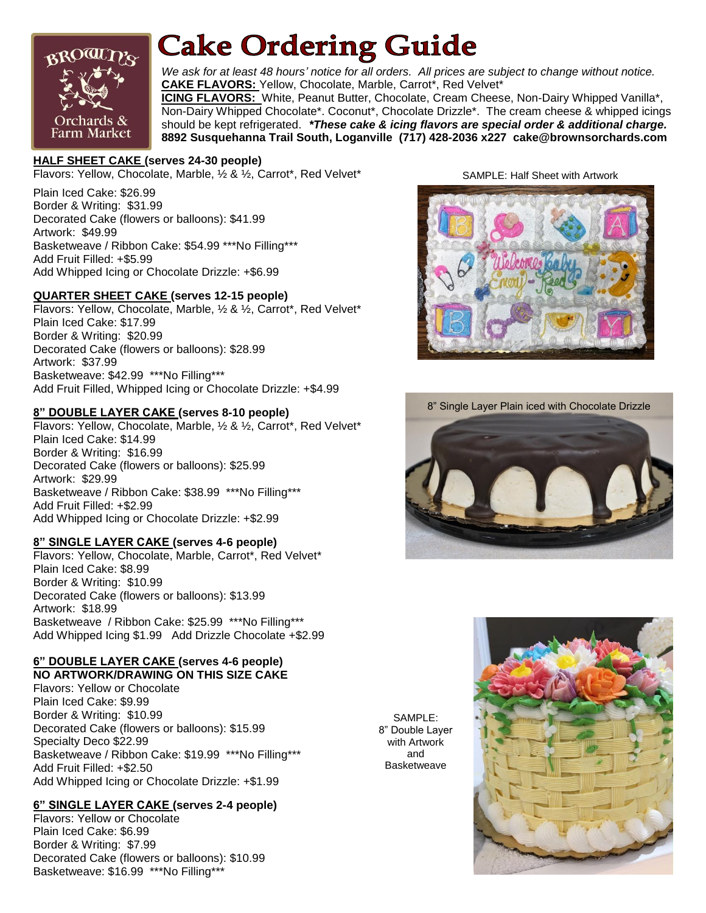

# **Cake Ordering Guide**

*We ask for at least 48 hours' notice for all orders. All prices are subject to change without notice.* **CAKE FLAVORS:** Yellow, Chocolate, Marble, Carrot\*, Red Velvet\* **ICING FLAVORS:** White, Peanut Butter, Chocolate, Cream Cheese, Non-Dairy Whipped Vanilla\*, Non-Dairy Whipped Chocolate\*. Coconut\*, Chocolate Drizzle\*. The cream cheese & whipped icings should be kept refrigerated. *\*These cake & icing flavors are special order & additional charge.* **8892 Susquehanna Trail South, Loganville (717) 428-2036 x227 cake@brownsorchards.com**

#### **HALF SHEET CAKE (serves 24-30 people)**

Flavors: Yellow, Chocolate, Marble, ½ & ½, Carrot\*, Red Velvet\*

Plain Iced Cake: \$26.99 Border & Writing: \$31.99 Decorated Cake (flowers or balloons): \$41.99 Artwork: \$49.99 Basketweave / Ribbon Cake: \$54.99 \*\*\*No Filling\*\*\* Add Fruit Filled: +\$5.99 Add Whipped Icing or Chocolate Drizzle: +\$6.99

# **QUARTER SHEET CAKE (serves 12-15 people)**

Flavors: Yellow, Chocolate, Marble, ½ & ½, Carrot\*, Red Velvet\* Plain Iced Cake: \$17.99 Border & Writing: \$20.99 Decorated Cake (flowers or balloons): \$28.99 Artwork: \$37.99 Basketweave: \$42.99 \*\*\*No Filling\*\*\* Add Fruit Filled, Whipped Icing or Chocolate Drizzle: +\$4.99

#### **8" DOUBLE LAYER CAKE (serves 8-10 people)**

Flavors: Yellow, Chocolate, Marble, ½ & ½, Carrot\*, Red Velvet\* Plain Iced Cake: \$14.99 Border & Writing: \$16.99 Decorated Cake (flowers or balloons): \$25.99 Artwork: \$29.99 Basketweave / Ribbon Cake: \$38.99 \*\*\*No Filling\*\*\* Add Fruit Filled: +\$2.99 Add Whipped Icing or Chocolate Drizzle: +\$2.99

#### **8" SINGLE LAYER CAKE (serves 4-6 people)**

Flavors: Yellow, Chocolate, Marble, Carrot\*, Red Velvet\* Plain Iced Cake: \$8.99 Border & Writing: \$10.99 Decorated Cake (flowers or balloons): \$13.99 Artwork: \$18.99 Basketweave / Ribbon Cake: \$25.99 \*\*\*No Filling\*\*\* Add Whipped Icing \$1.99 Add Drizzle Chocolate +\$2.99

#### **6" DOUBLE LAYER CAKE (serves 4-6 people) NO ARTWORK/DRAWING ON THIS SIZE CAKE**

Flavors: Yellow or Chocolate Plain Iced Cake: \$9.99 Border & Writing: \$10.99 Decorated Cake (flowers or balloons): \$15.99 Specialty Deco \$22.99 Basketweave / Ribbon Cake: \$19.99 \*\*\*No Filling\*\*\* Add Fruit Filled: +\$2.50 Add Whipped Icing or Chocolate Drizzle: +\$1.99

# **6" SINGLE LAYER CAKE (serves 2-4 people)**

Flavors: Yellow or Chocolate Plain Iced Cake: \$6.99 Border & Writing: \$7.99 Decorated Cake (flowers or balloons): \$10.99 Basketweave: \$16.99 \*\*\*No Filling\*\*\*

SAMPLE: Half Sheet with Artwork





SAMPLE: 8" Double Layer with Artwork and **Basketweave**